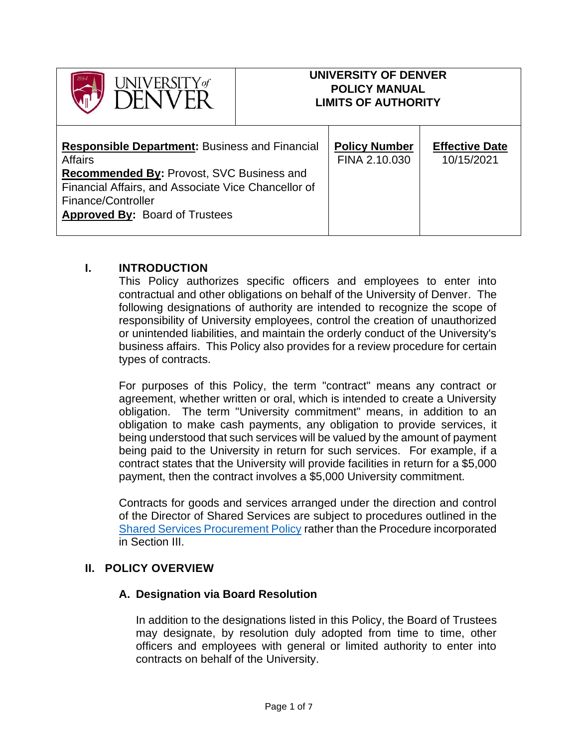| $\sqrt{\text{d}}\text{VERSTY}$ of                                                                                                                                                                                                                 |  | UNIVERSITY OF DENVER<br><b>POLICY MANUAL</b><br><b>LIMITS OF AUTHORITY</b> |                                     |
|---------------------------------------------------------------------------------------------------------------------------------------------------------------------------------------------------------------------------------------------------|--|----------------------------------------------------------------------------|-------------------------------------|
| <b>Responsible Department: Business and Financial</b><br><b>Affairs</b><br><b>Recommended By: Provost, SVC Business and</b><br>Financial Affairs, and Associate Vice Chancellor of<br>Finance/Controller<br><b>Approved By: Board of Trustees</b> |  | <b>Policy Number</b><br>FINA 2.10.030                                      | <b>Effective Date</b><br>10/15/2021 |

#### **I. INTRODUCTION**

This Policy authorizes specific officers and employees to enter into contractual and other obligations on behalf of the University of Denver. The following designations of authority are intended to recognize the scope of responsibility of University employees, control the creation of unauthorized or unintended liabilities, and maintain the orderly conduct of the University's business affairs. This Policy also provides for a review procedure for certain types of contracts.

For purposes of this Policy, the term "contract" means any contract or agreement, whether written or oral, which is intended to create a University obligation. The term "University commitment" means, in addition to an obligation to make cash payments, any obligation to provide services, it being understood that such services will be valued by the amount of payment being paid to the University in return for such services. For example, if a contract states that the University will provide facilities in return for a \$5,000 payment, then the contract involves a \$5,000 University commitment.

Contracts for goods and services arranged under the direction and control of the Director of Shared Services are subject to procedures outlined in the [Shared Services Procurement Policy](https://dusharedservicescenter.freshdesk.com/support/solutions/articles/30000034792-du-procurement-policy) rather than the Procedure incorporated in Section III.

#### **II. POLICY OVERVIEW**

#### **A. Designation via Board Resolution**

In addition to the designations listed in this Policy, the Board of Trustees may designate, by resolution duly adopted from time to time, other officers and employees with general or limited authority to enter into contracts on behalf of the University.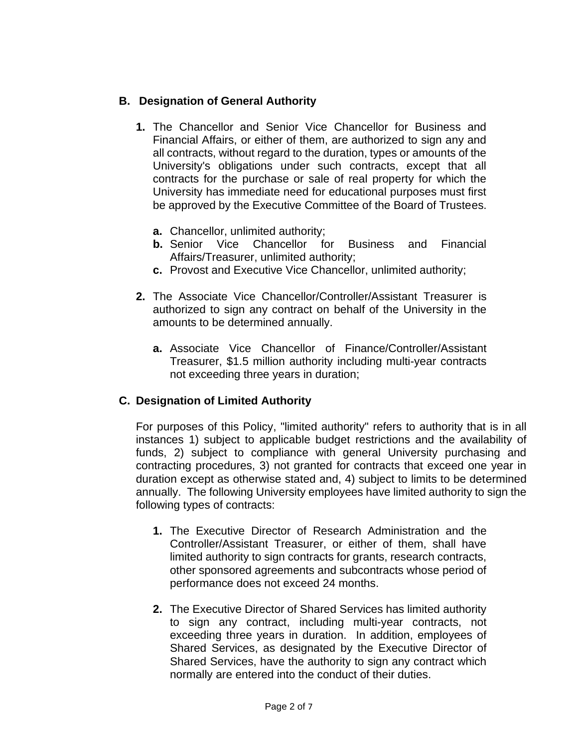# **B. Designation of General Authority**

- **1.** The Chancellor and Senior Vice Chancellor for Business and Financial Affairs, or either of them, are authorized to sign any and all contracts, without regard to the duration, types or amounts of the University's obligations under such contracts, except that all contracts for the purchase or sale of real property for which the University has immediate need for educational purposes must first be approved by the Executive Committee of the Board of Trustees.
	- **a.** Chancellor, unlimited authority;
	- **b.** Senior Vice Chancellor for Business and Financial Affairs/Treasurer, unlimited authority;
	- **c.** Provost and Executive Vice Chancellor, unlimited authority;
- **2.** The Associate Vice Chancellor/Controller/Assistant Treasurer is authorized to sign any contract on behalf of the University in the amounts to be determined annually.
	- **a.** Associate Vice Chancellor of Finance/Controller/Assistant Treasurer, \$1.5 million authority including multi-year contracts not exceeding three years in duration;

## **C. Designation of Limited Authority**

For purposes of this Policy, "limited authority" refers to authority that is in all instances 1) subject to applicable budget restrictions and the availability of funds, 2) subject to compliance with general University purchasing and contracting procedures, 3) not granted for contracts that exceed one year in duration except as otherwise stated and, 4) subject to limits to be determined annually. The following University employees have limited authority to sign the following types of contracts:

- **1.** The Executive Director of Research Administration and the Controller/Assistant Treasurer, or either of them, shall have limited authority to sign contracts for grants, research contracts, other sponsored agreements and subcontracts whose period of performance does not exceed 24 months.
- **2.** The Executive Director of Shared Services has limited authority to sign any contract, including multi-year contracts, not exceeding three years in duration. In addition, employees of Shared Services, as designated by the Executive Director of Shared Services, have the authority to sign any contract which normally are entered into the conduct of their duties.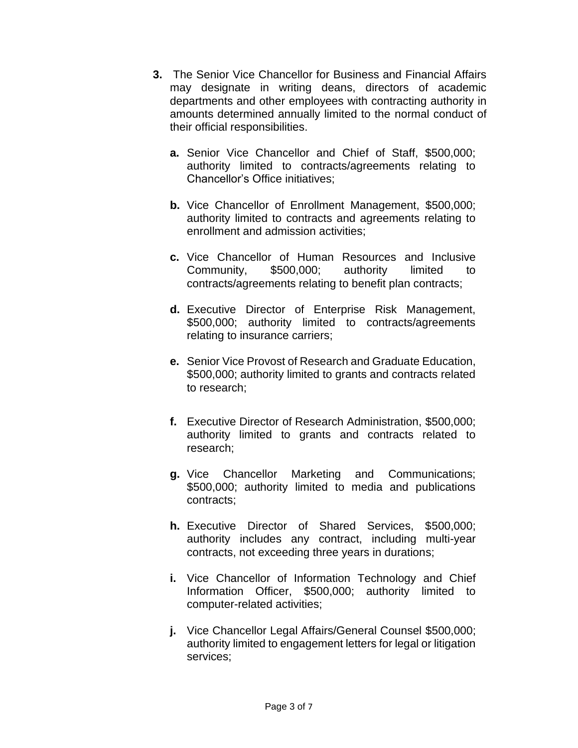- **3.** The Senior Vice Chancellor for Business and Financial Affairs may designate in writing deans, directors of academic departments and other employees with contracting authority in amounts determined annually limited to the normal conduct of their official responsibilities.
	- **a.** Senior Vice Chancellor and Chief of Staff, \$500,000; authority limited to contracts/agreements relating to Chancellor's Office initiatives;
	- **b.** Vice Chancellor of Enrollment Management, \$500,000; authority limited to contracts and agreements relating to enrollment and admission activities;
	- **c.** Vice Chancellor of Human Resources and Inclusive Community, \$500,000; authority limited to contracts/agreements relating to benefit plan contracts;
	- **d.** Executive Director of Enterprise Risk Management, \$500,000; authority limited to contracts/agreements relating to insurance carriers;
	- **e.** Senior Vice Provost of Research and Graduate Education, \$500,000; authority limited to grants and contracts related to research;
	- **f.** Executive Director of Research Administration, \$500,000; authority limited to grants and contracts related to research;
	- **g.** Vice Chancellor Marketing and Communications; \$500,000; authority limited to media and publications contracts;
	- **h.** Executive Director of Shared Services, \$500,000; authority includes any contract, including multi-year contracts, not exceeding three years in durations;
	- **i.** Vice Chancellor of Information Technology and Chief Information Officer, \$500,000; authority limited to computer-related activities;
	- **j.** Vice Chancellor Legal Affairs/General Counsel \$500,000; authority limited to engagement letters for legal or litigation services;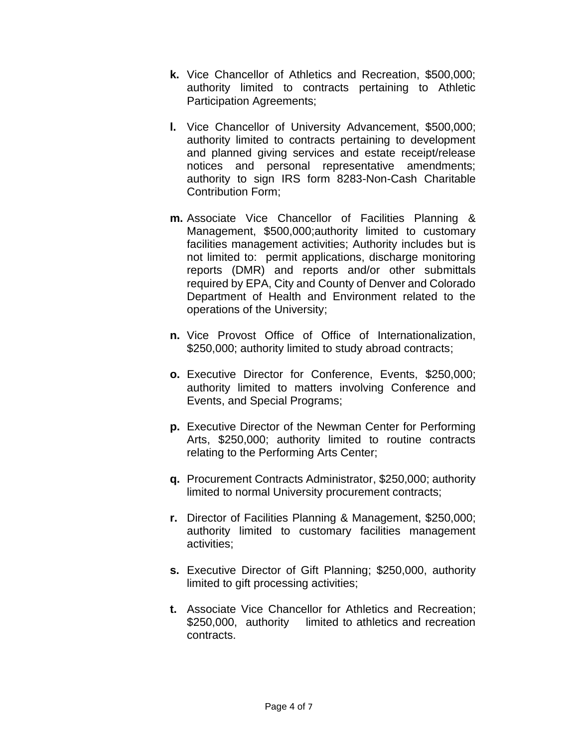- **k.** Vice Chancellor of Athletics and Recreation, \$500,000; authority limited to contracts pertaining to Athletic Participation Agreements;
- **l.** Vice Chancellor of University Advancement, \$500,000; authority limited to contracts pertaining to development and planned giving services and estate receipt/release notices and personal representative amendments; authority to sign IRS form 8283-Non-Cash Charitable Contribution Form;
- **m.** Associate Vice Chancellor of Facilities Planning & Management, \$500,000;authority limited to customary facilities management activities; Authority includes but is not limited to: permit applications, discharge monitoring reports (DMR) and reports and/or other submittals required by EPA, City and County of Denver and Colorado Department of Health and Environment related to the operations of the University;
- **n.** Vice Provost Office of Office of Internationalization, \$250,000; authority limited to study abroad contracts;
- **o.** Executive Director for Conference, Events, \$250,000; authority limited to matters involving Conference and Events, and Special Programs;
- **p.** Executive Director of the Newman Center for Performing Arts, \$250,000; authority limited to routine contracts relating to the Performing Arts Center;
- **q.** Procurement Contracts Administrator, \$250,000; authority limited to normal University procurement contracts;
- **r.** Director of Facilities Planning & Management, \$250,000; authority limited to customary facilities management activities;
- **s.** Executive Director of Gift Planning; \$250,000, authority limited to gift processing activities;
- **t.** Associate Vice Chancellor for Athletics and Recreation; \$250,000, authority limited to athletics and recreation contracts.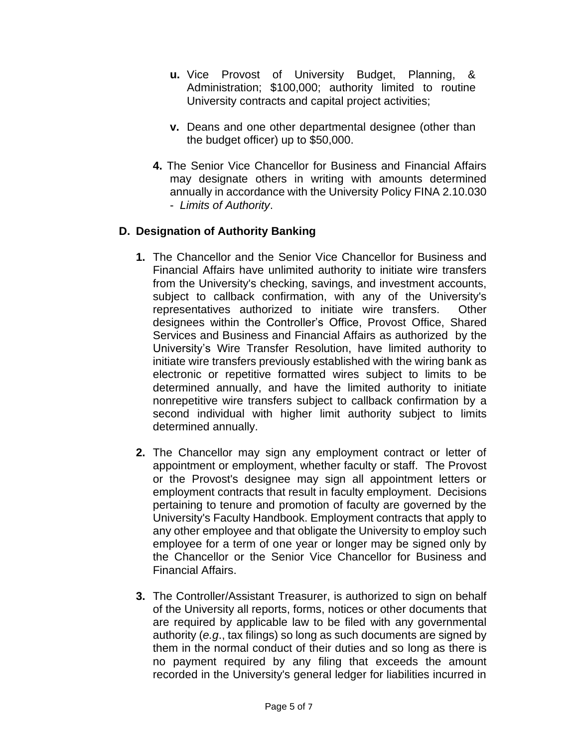- **u.** Vice Provost of University Budget, Planning, & Administration; \$100,000; authority limited to routine University contracts and capital project activities;
- **v.** Deans and one other departmental designee (other than the budget officer) up to \$50,000.
- **4.** The Senior Vice Chancellor for Business and Financial Affairs may designate others in writing with amounts determined annually in accordance with the University Policy FINA 2.10.030 - *Limits of Authority*.

# **D. Designation of Authority Banking**

- **1.** The Chancellor and the Senior Vice Chancellor for Business and Financial Affairs have unlimited authority to initiate wire transfers from the University's checking, savings, and investment accounts, subject to callback confirmation, with any of the University's representatives authorized to initiate wire transfers. Other designees within the Controller's Office, Provost Office, Shared Services and Business and Financial Affairs as authorized by the University's Wire Transfer Resolution, have limited authority to initiate wire transfers previously established with the wiring bank as electronic or repetitive formatted wires subject to limits to be determined annually, and have the limited authority to initiate nonrepetitive wire transfers subject to callback confirmation by a second individual with higher limit authority subject to limits determined annually.
- **2.** The Chancellor may sign any employment contract or letter of appointment or employment, whether faculty or staff. The Provost or the Provost's designee may sign all appointment letters or employment contracts that result in faculty employment. Decisions pertaining to tenure and promotion of faculty are governed by the University's Faculty Handbook. Employment contracts that apply to any other employee and that obligate the University to employ such employee for a term of one year or longer may be signed only by the Chancellor or the Senior Vice Chancellor for Business and Financial Affairs.
- **3.** The Controller/Assistant Treasurer, is authorized to sign on behalf of the University all reports, forms, notices or other documents that are required by applicable law to be filed with any governmental authority (*e.g*., tax filings) so long as such documents are signed by them in the normal conduct of their duties and so long as there is no payment required by any filing that exceeds the amount recorded in the University's general ledger for liabilities incurred in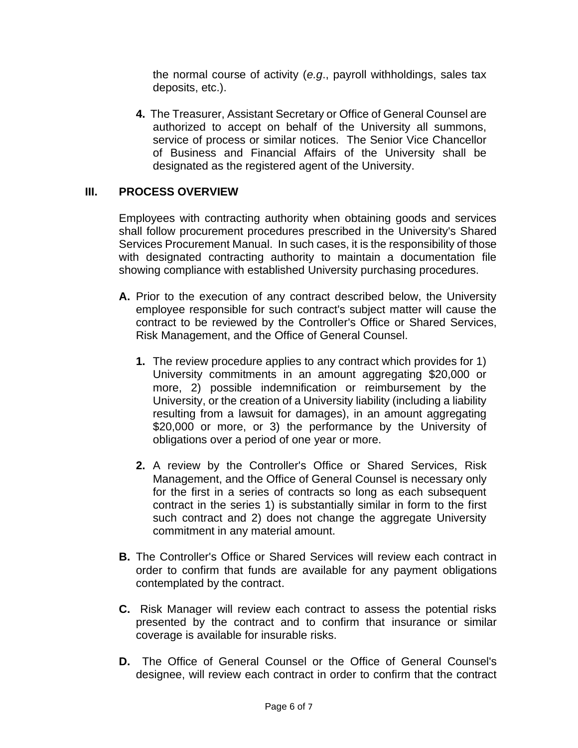the normal course of activity (*e.g*., payroll withholdings, sales tax deposits, etc.).

**4.** The Treasurer, Assistant Secretary or Office of General Counsel are authorized to accept on behalf of the University all summons, service of process or similar notices. The Senior Vice Chancellor of Business and Financial Affairs of the University shall be designated as the registered agent of the University.

### **III. PROCESS OVERVIEW**

Employees with contracting authority when obtaining goods and services shall follow procurement procedures prescribed in the University's Shared Services Procurement Manual. In such cases, it is the responsibility of those with designated contracting authority to maintain a documentation file showing compliance with established University purchasing procedures.

- **A.** Prior to the execution of any contract described below, the University employee responsible for such contract's subject matter will cause the contract to be reviewed by the Controller's Office or Shared Services, Risk Management, and the Office of General Counsel.
	- **1.** The review procedure applies to any contract which provides for 1) University commitments in an amount aggregating \$20,000 or more, 2) possible indemnification or reimbursement by the University, or the creation of a University liability (including a liability resulting from a lawsuit for damages), in an amount aggregating \$20,000 or more, or 3) the performance by the University of obligations over a period of one year or more.
	- **2.** A review by the Controller's Office or Shared Services, Risk Management, and the Office of General Counsel is necessary only for the first in a series of contracts so long as each subsequent contract in the series 1) is substantially similar in form to the first such contract and 2) does not change the aggregate University commitment in any material amount.
- **B.** The Controller's Office or Shared Services will review each contract in order to confirm that funds are available for any payment obligations contemplated by the contract.
- **C.** Risk Manager will review each contract to assess the potential risks presented by the contract and to confirm that insurance or similar coverage is available for insurable risks.
- **D.** The Office of General Counsel or the Office of General Counsel's designee, will review each contract in order to confirm that the contract